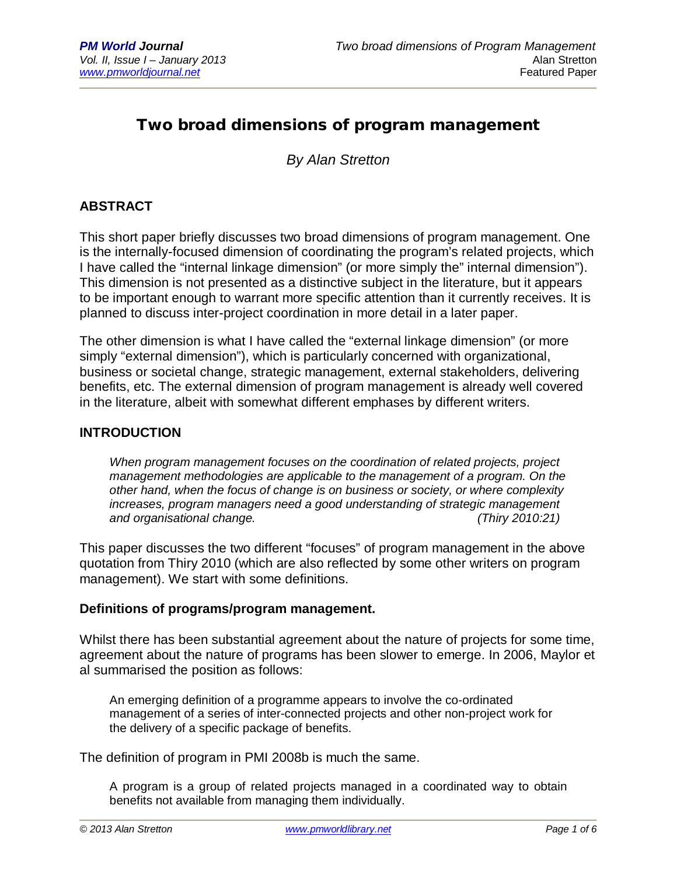# **Two broad dimensions of program management**

*By Alan Stretton*

## **ABSTRACT**

This short paper briefly discusses two broad dimensions of program management. One is the internally-focused dimension of coordinating the program's related projects, which I have called the "internal linkage dimension" (or more simply the" internal dimension"). This dimension is not presented as a distinctive subject in the literature, but it appears to be important enough to warrant more specific attention than it currently receives. It is planned to discuss inter-project coordination in more detail in a later paper.

The other dimension is what I have called the "external linkage dimension" (or more simply "external dimension"), which is particularly concerned with organizational, business or societal change, strategic management, external stakeholders, delivering benefits, etc. The external dimension of program management is already well covered in the literature, albeit with somewhat different emphases by different writers.

#### **INTRODUCTION**

*When program management focuses on the coordination of related projects, project management methodologies are applicable to the management of a program. On the other hand, when the focus of change is on business or society, or where complexity increases, program managers need a good understanding of strategic management and organisational change. (Thiry 2010:21)*

This paper discusses the two different "focuses" of program management in the above quotation from Thiry 2010 (which are also reflected by some other writers on program management). We start with some definitions.

#### **Definitions of programs/program management.**

Whilst there has been substantial agreement about the nature of projects for some time, agreement about the nature of programs has been slower to emerge. In 2006, Maylor et al summarised the position as follows:

An emerging definition of a programme appears to involve the co-ordinated management of a series of inter-connected projects and other non-project work for the delivery of a specific package of benefits.

The definition of program in PMI 2008b is much the same.

A program is a group of related projects managed in a coordinated way to obtain benefits not available from managing them individually.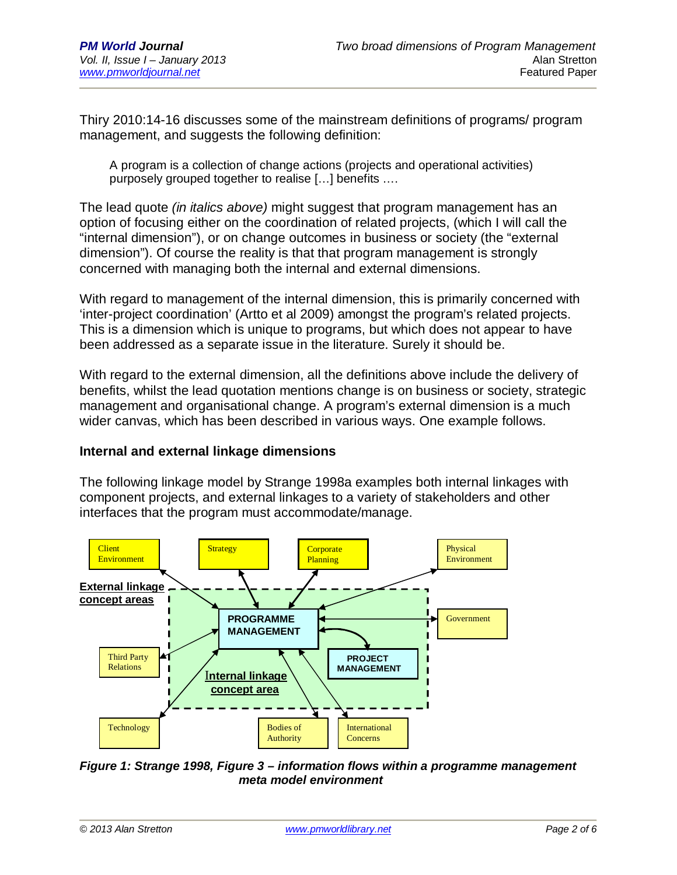Thiry 2010:14-16 discusses some of the mainstream definitions of programs/ program management, and suggests the following definition:

A program is a collection of change actions (projects and operational activities) purposely grouped together to realise […] benefits ….

The lead quote *(in italics above)* might suggest that program management has an option of focusing either on the coordination of related projects, (which I will call the "internal dimension"), or on change outcomes in business or society (the "external dimension"). Of course the reality is that that program management is strongly concerned with managing both the internal and external dimensions.

With regard to management of the internal dimension, this is primarily concerned with 'inter-project coordination' (Artto et al 2009) amongst the program's related projects. This is a dimension which is unique to programs, but which does not appear to have been addressed as a separate issue in the literature. Surely it should be.

With regard to the external dimension, all the definitions above include the delivery of benefits, whilst the lead quotation mentions change is on business or society, strategic management and organisational change. A program's external dimension is a much wider canvas, which has been described in various ways. One example follows.

#### **Internal and external linkage dimensions**

The following linkage model by Strange 1998a examples both internal linkages with component projects, and external linkages to a variety of stakeholders and other interfaces that the program must accommodate/manage.



*Figure 1: Strange 1998, Figure 3 – information flows within a programme management meta model environment*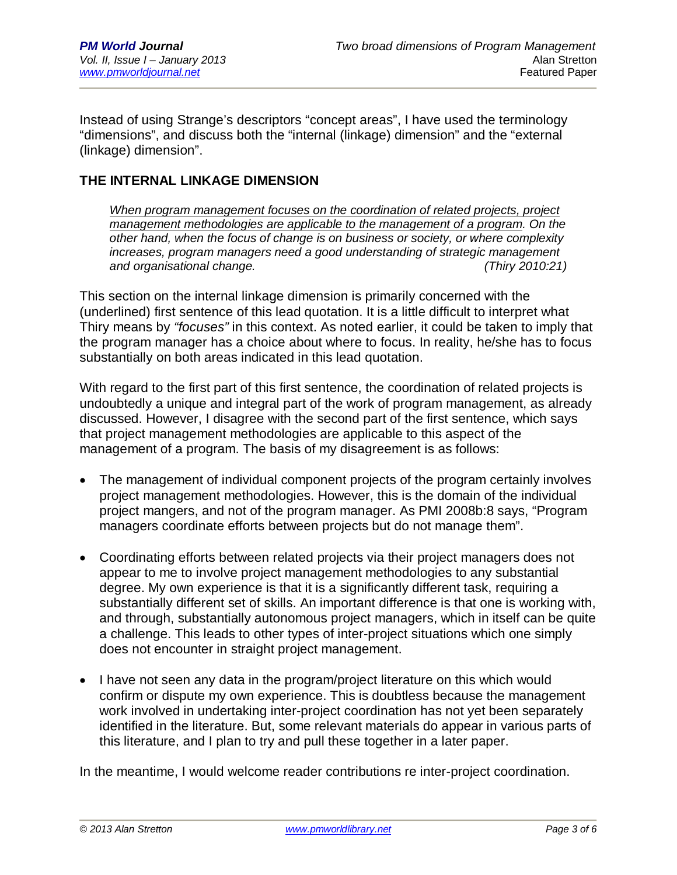Instead of using Strange's descriptors "concept areas", I have used the terminology "dimensions", and discuss both the "internal (linkage) dimension" and the "external (linkage) dimension".

## **THE INTERNAL LINKAGE DIMENSION**

*When program management focuses on the coordination of related projects, project management methodologies are applicable to the management of a program. On the other hand, when the focus of change is on business or society, or where complexity increases, program managers need a good understanding of strategic management and organisational change. (Thiry 2010:21)*

This section on the internal linkage dimension is primarily concerned with the (underlined) first sentence of this lead quotation. It is a little difficult to interpret what Thiry means by *"focuses"* in this context. As noted earlier, it could be taken to imply that the program manager has a choice about where to focus. In reality, he/she has to focus substantially on both areas indicated in this lead quotation.

With regard to the first part of this first sentence, the coordination of related projects is undoubtedly a unique and integral part of the work of program management, as already discussed. However, I disagree with the second part of the first sentence, which says that project management methodologies are applicable to this aspect of the management of a program. The basis of my disagreement is as follows:

- The management of individual component projects of the program certainly involves project management methodologies. However, this is the domain of the individual project mangers, and not of the program manager. As PMI 2008b:8 says, "Program managers coordinate efforts between projects but do not manage them".
- Coordinating efforts between related projects via their project managers does not appear to me to involve project management methodologies to any substantial degree. My own experience is that it is a significantly different task, requiring a substantially different set of skills. An important difference is that one is working with, and through, substantially autonomous project managers, which in itself can be quite a challenge. This leads to other types of inter-project situations which one simply does not encounter in straight project management.
- I have not seen any data in the program/project literature on this which would confirm or dispute my own experience. This is doubtless because the management work involved in undertaking inter-project coordination has not yet been separately identified in the literature. But, some relevant materials do appear in various parts of this literature, and I plan to try and pull these together in a later paper.

In the meantime, I would welcome reader contributions re inter-project coordination.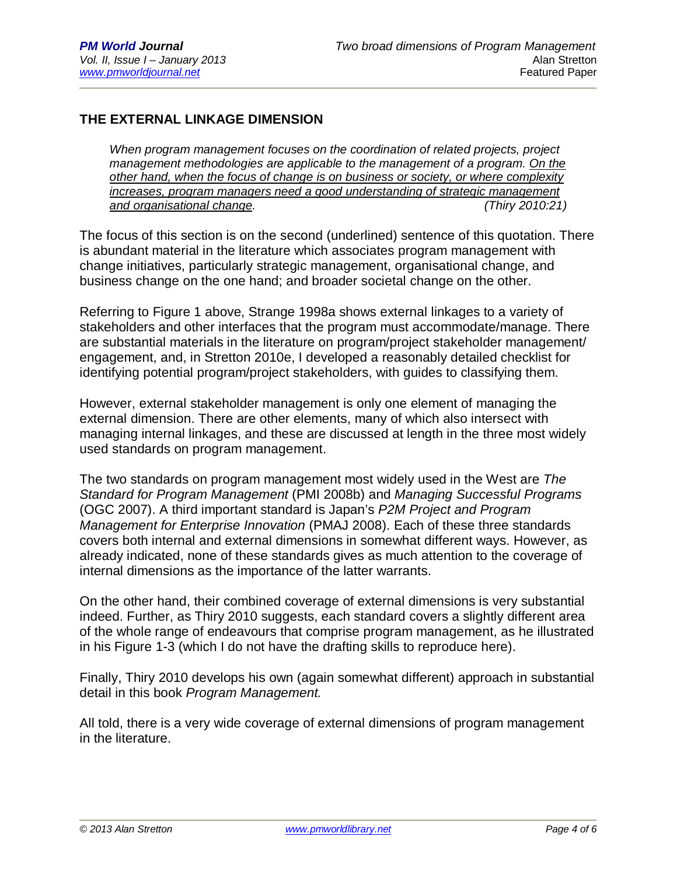## **THE EXTERNAL LINKAGE DIMENSION**

*When program management focuses on the coordination of related projects, project management methodologies are applicable to the management of a program. On the other hand, when the focus of change is on business or society, or where complexity increases, program managers need a good understanding of strategic management and organisational change. (Thiry 2010:21)*

The focus of this section is on the second (underlined) sentence of this quotation. There is abundant material in the literature which associates program management with change initiatives, particularly strategic management, organisational change, and business change on the one hand; and broader societal change on the other.

Referring to Figure 1 above, Strange 1998a shows external linkages to a variety of stakeholders and other interfaces that the program must accommodate/manage. There are substantial materials in the literature on program/project stakeholder management/ engagement, and, in Stretton 2010e, I developed a reasonably detailed checklist for identifying potential program/project stakeholders, with guides to classifying them.

However, external stakeholder management is only one element of managing the external dimension. There are other elements, many of which also intersect with managing internal linkages, and these are discussed at length in the three most widely used standards on program management.

The two standards on program management most widely used in the West are *The Standard for Program Management* (PMI 2008b) and *Managing Successful Programs*  (OGC 2007). A third important standard is Japan's *P2M Project and Program Management for Enterprise Innovation* (PMAJ 2008). Each of these three standards covers both internal and external dimensions in somewhat different ways. However, as already indicated, none of these standards gives as much attention to the coverage of internal dimensions as the importance of the latter warrants.

On the other hand, their combined coverage of external dimensions is very substantial indeed. Further, as Thiry 2010 suggests, each standard covers a slightly different area of the whole range of endeavours that comprise program management, as he illustrated in his Figure 1-3 (which I do not have the drafting skills to reproduce here).

Finally, Thiry 2010 develops his own (again somewhat different) approach in substantial detail in this book *Program Management.*

All told, there is a very wide coverage of external dimensions of program management in the literature.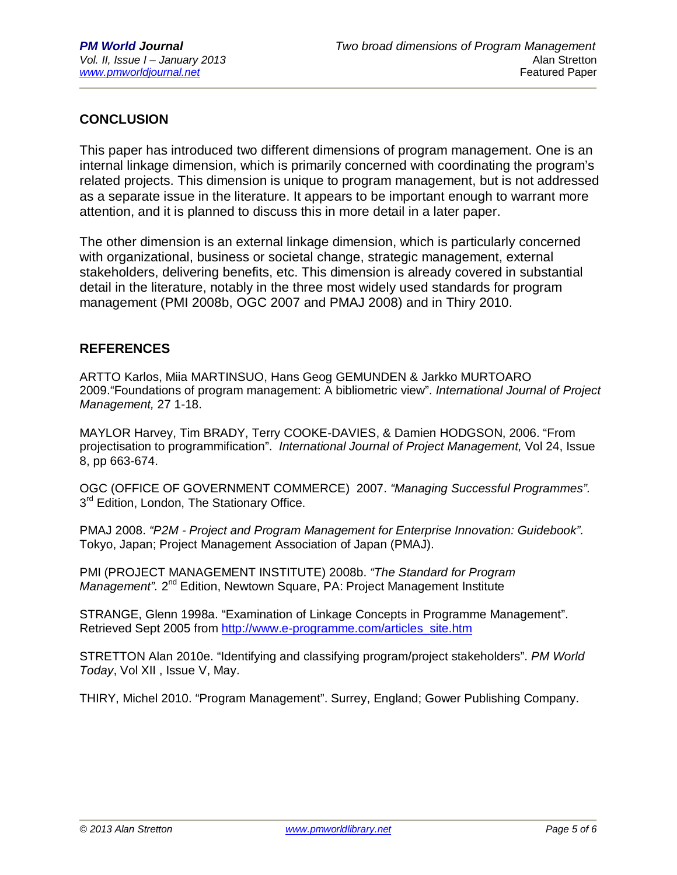# **CONCLUSION**

This paper has introduced two different dimensions of program management. One is an internal linkage dimension, which is primarily concerned with coordinating the program's related projects. This dimension is unique to program management, but is not addressed as a separate issue in the literature. It appears to be important enough to warrant more attention, and it is planned to discuss this in more detail in a later paper.

The other dimension is an external linkage dimension, which is particularly concerned with organizational, business or societal change, strategic management, external stakeholders, delivering benefits, etc. This dimension is already covered in substantial detail in the literature, notably in the three most widely used standards for program management (PMI 2008b, OGC 2007 and PMAJ 2008) and in Thiry 2010.

#### **REFERENCES**

ARTTO Karlos, Miia MARTINSUO, Hans Geog GEMUNDEN & Jarkko MURTOARO 2009."Foundations of program management: A bibliometric view". *International Journal of Project Management,* 27 1-18.

MAYLOR Harvey, Tim BRADY, Terry COOKE-DAVIES, & Damien HODGSON, 2006. "From projectisation to programmification". *International Journal of Project Management,* Vol 24, Issue 8, pp 663-674.

OGC (OFFICE OF GOVERNMENT COMMERCE) 2007. *"Managing Successful Programmes".*  3<sup>rd</sup> Edition, London, The Stationary Office.

PMAJ 2008. *"P2M - Project and Program Management for Enterprise Innovation: Guidebook".*  Tokyo, Japan; Project Management Association of Japan (PMAJ).

PMI (PROJECT MANAGEMENT INSTITUTE) 2008b. *"The Standard for Program*  Management". 2<sup>nd</sup> Edition, Newtown Square, PA: Project Management Institute

STRANGE, Glenn 1998a. "Examination of Linkage Concepts in Programme Management". Retrieved Sept 2005 from http://www.e-programme.com/articles\_site.htm

STRETTON Alan 2010e. "Identifying and classifying program/project stakeholders". *PM World Today*, Vol XII , Issue V, May.

THIRY, Michel 2010. "Program Management". Surrey, England; Gower Publishing Company.